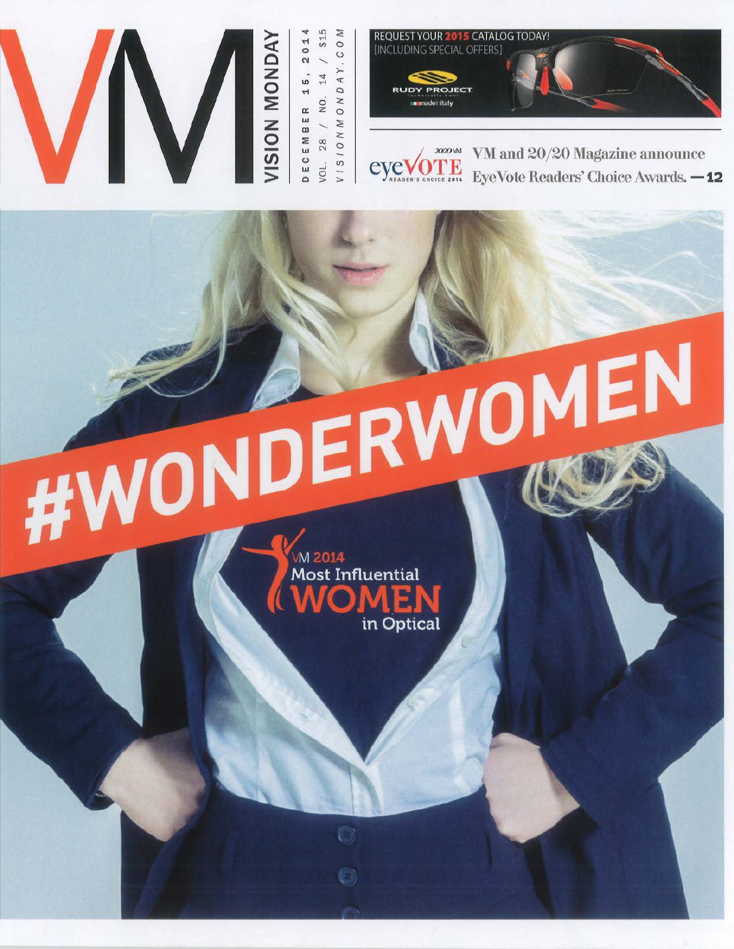



VM and 20/20 Magazine announce 20/20 VM eve EyeVote Readers' Choice Awards. - 12

**#WONDERWOMEN M 2014** Most Influential in Optical

O M

 $\circ$ 

AY.

NONDA NO.

 $\geq$  $28$  $\circ$ 

 $V I S I$ VOL.

 $14$